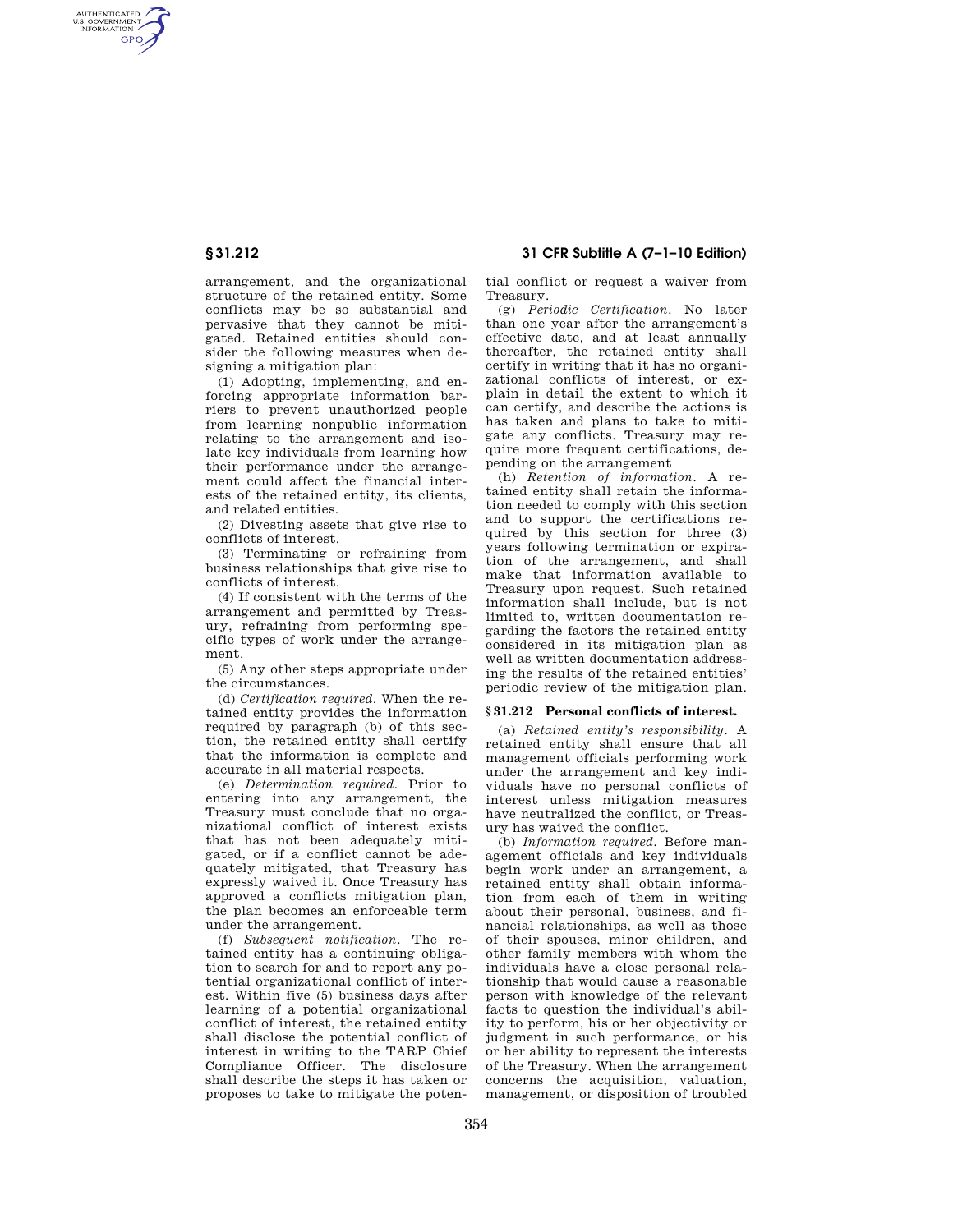AUTHENTICATED<br>U.S. GOVERNMENT<br>INFORMATION **GPO** 

> arrangement, and the organizational structure of the retained entity. Some conflicts may be so substantial and pervasive that they cannot be mitigated. Retained entities should consider the following measures when designing a mitigation plan:

> (1) Adopting, implementing, and enforcing appropriate information barriers to prevent unauthorized people from learning nonpublic information relating to the arrangement and isolate key individuals from learning how their performance under the arrangement could affect the financial interests of the retained entity, its clients, and related entities.

> (2) Divesting assets that give rise to conflicts of interest.

> (3) Terminating or refraining from business relationships that give rise to conflicts of interest.

> (4) If consistent with the terms of the arrangement and permitted by Treasury, refraining from performing specific types of work under the arrangement.

> (5) Any other steps appropriate under the circumstances.

(d) *Certification required.* When the retained entity provides the information required by paragraph (b) of this section, the retained entity shall certify that the information is complete and accurate in all material respects.

(e) *Determination required.* Prior to entering into any arrangement, the Treasury must conclude that no organizational conflict of interest exists that has not been adequately mitigated, or if a conflict cannot be adequately mitigated, that Treasury has expressly waived it. Once Treasury has approved a conflicts mitigation plan, the plan becomes an enforceable term under the arrangement.

(f) *Subsequent notification.* The retained entity has a continuing obligation to search for and to report any potential organizational conflict of interest. Within five (5) business days after learning of a potential organizational conflict of interest, the retained entity shall disclose the potential conflict of interest in writing to the TARP Chief Compliance Officer. The disclosure shall describe the steps it has taken or proposes to take to mitigate the poten-

**§ 31.212 31 CFR Subtitle A (7–1–10 Edition)** 

tial conflict or request a waiver from Treasury.

(g) *Periodic Certification.* No later than one year after the arrangement's effective date, and at least annually thereafter, the retained entity shall certify in writing that it has no organizational conflicts of interest, or explain in detail the extent to which it can certify, and describe the actions is has taken and plans to take to mitigate any conflicts. Treasury may require more frequent certifications, depending on the arrangement

(h) *Retention of information.* A retained entity shall retain the information needed to comply with this section and to support the certifications required by this section for three (3) years following termination or expiration of the arrangement, and shall make that information available to Treasury upon request. Such retained information shall include, but is not limited to, written documentation regarding the factors the retained entity considered in its mitigation plan as well as written documentation addressing the results of the retained entities' periodic review of the mitigation plan.

## **§ 31.212 Personal conflicts of interest.**

(a) *Retained entity's responsibility.* A retained entity shall ensure that all management officials performing work under the arrangement and key individuals have no personal conflicts of interest unless mitigation measures have neutralized the conflict, or Treasury has waived the conflict.

(b) *Information required.* Before management officials and key individuals begin work under an arrangement, a retained entity shall obtain information from each of them in writing about their personal, business, and financial relationships, as well as those of their spouses, minor children, and other family members with whom the individuals have a close personal relationship that would cause a reasonable person with knowledge of the relevant facts to question the individual's ability to perform, his or her objectivity or judgment in such performance, or his or her ability to represent the interests of the Treasury. When the arrangement concerns the acquisition, valuation, management, or disposition of troubled